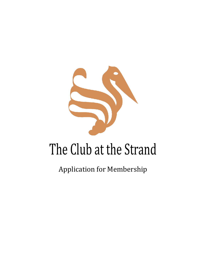

# The Club at the Strand

Application for Membership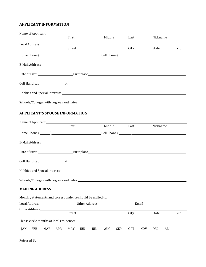## **APPLICANT INFORMATION**

| First                                                 | Middle | Last | Nickname |     |
|-------------------------------------------------------|--------|------|----------|-----|
|                                                       |        |      |          |     |
| Street                                                |        | City | State    | Zip |
| Home Phone $(\_\_\_\_\_\$ Cell Phone $(\_\_\_\_\_\_\$ |        |      |          |     |
|                                                       |        |      |          |     |
|                                                       |        |      |          |     |
|                                                       |        |      |          |     |
|                                                       |        |      |          |     |
|                                                       |        |      |          |     |

# **APPLICANT'S SPOUSE INFORMATION**

|     |                        |                                                            |     | First  |         | Middle |            |            | Last       | Nickname   |     |     |
|-----|------------------------|------------------------------------------------------------|-----|--------|---------|--------|------------|------------|------------|------------|-----|-----|
|     |                        |                                                            |     |        |         |        |            |            |            |            |     |     |
|     |                        |                                                            |     |        |         |        |            |            |            |            |     |     |
|     |                        |                                                            |     |        |         |        |            |            |            |            |     |     |
|     |                        |                                                            |     |        |         |        |            |            |            |            |     |     |
|     |                        |                                                            |     |        |         |        |            |            |            |            |     |     |
|     |                        |                                                            |     |        |         |        |            |            |            |            |     |     |
|     | <b>MAILING ADDRESS</b> |                                                            |     |        |         |        |            |            |            |            |     |     |
|     |                        | Monthly statements and correspondence should be mailed to: |     |        |         |        |            |            |            |            |     |     |
|     |                        |                                                            |     |        |         |        |            |            |            |            |     |     |
|     |                        |                                                            |     |        |         |        |            |            |            |            |     |     |
|     |                        |                                                            |     | Street |         |        |            | City       |            | State      |     | Zip |
|     |                        | Please circle months at local residence:                   |     |        |         |        |            |            |            |            |     |     |
| JAN | FEB                    | MAR                                                        | APR | MAY    | JUN JUL | AUG    | <b>SEP</b> | <b>OCT</b> | <b>NOV</b> | <b>DEC</b> | ALL |     |
|     |                        |                                                            |     |        |         |        |            |            |            |            |     |     |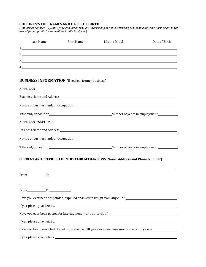### **CHILDREN'S FULL NAMES AND DATESOF BIRTH**

(Unmarried children 30 years of age and under, who are either living at home, attending school on a full-time basis or are in the *armed forces qualify for Immediate Family Privileges)*

| Last Name                 | First Name                                                | Middle Initial                                                                                                  | Date of Birth |
|---------------------------|-----------------------------------------------------------|-----------------------------------------------------------------------------------------------------------------|---------------|
|                           |                                                           |                                                                                                                 |               |
|                           |                                                           | 2.                                                                                                              |               |
|                           | 4.                                                        | $\frac{3}{2}$                                                                                                   |               |
|                           |                                                           |                                                                                                                 |               |
|                           | <b>BUSINESS INFORMATION</b> (If retired, former business) |                                                                                                                 |               |
| <b>APPLICANT</b>          |                                                           |                                                                                                                 |               |
|                           |                                                           |                                                                                                                 |               |
|                           |                                                           |                                                                                                                 |               |
|                           |                                                           |                                                                                                                 |               |
| <b>APPLICANT'S SPOUSE</b> |                                                           |                                                                                                                 |               |
|                           |                                                           |                                                                                                                 |               |
|                           |                                                           |                                                                                                                 |               |
|                           |                                                           |                                                                                                                 |               |
|                           |                                                           | <b>CURRENT AND PREVIOUS COUNTRY CLUB AFFILIATIONS (Name, Address and Phone Number)</b>                          |               |
| From To                   |                                                           |                                                                                                                 |               |
| From To                   |                                                           |                                                                                                                 |               |
|                           |                                                           |                                                                                                                 |               |
|                           |                                                           |                                                                                                                 |               |
|                           |                                                           |                                                                                                                 |               |
|                           |                                                           | If yes, please give details. The material control of the set of the set of the set of the set of the set of the |               |
|                           |                                                           | Have you been convicted of a felony in the past 10 years or a misdemeanor in the last 5 years? ______________   |               |
|                           |                                                           |                                                                                                                 |               |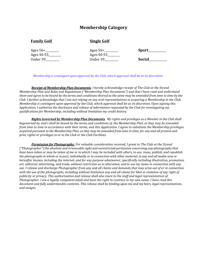# **Membership Category**

#### **Family Golf** Single Golf

Ages 56+\_\_\_\_\_\_\_\_\_\_ Ages 56+\_\_\_\_\_\_\_\_\_\_ **Sport**\_\_\_\_\_\_\_\_\_\_\_\_ Ages 40-55\_\_\_\_\_\_\_\_\_ Ages 40-55\_\_\_\_\_\_\_\_\_ Under 39\_\_\_\_\_\_\_\_\_\_ Under 39\_\_\_\_\_\_\_\_\_\_ **Social**\_\_\_\_\_\_\_\_\_\_\_\_\_

| snort |  |
|-------|--|
|-------|--|

*Membership is contingent upon approval by the Club, which approval shall be as its discretion.*

*Receipt of Membership Plan Documents. I hereby acknowledge receipt of The Club at the Strand Membership Plan and Rules and Regulations ("Membership Plan Documents") and that I have read and understand* them and agree to be bound by the terms and conditions thereof as the same may be amended from time to time by the *Club. I further acknowledge that I am not relying on any oral representations in acquiring a Membership in the Club. Membership is contingent upon approval by the Club, which approval shall be as its discretion. Upon signing this Application, I authorize the disclosure and release of information requested by the Club for investigating my qualifications for Membership, including without limitation my credit history.*

Rights Governed by Membership Plan Documents. My rights and privileges as a Member in the Club shall *begoverned by, and I shall be bound by the terms and conditions of, the Membership Plan, as they may be amended from time to time in accordance with their terms, and this Application. I agree to substitute the Membership privileges* acquired pursuant to the Membership Plan, as they may be amended from time to time, for any and all present and *prior rights or privileges in or to the Club or the Club Facilities.*

*Permission for Photography. For valuable consideration received, I grant to The Club at the Strand ("Photographer") the absolute and irrevocable right and unrestricted permission concerning any photographs that have been taken or may be taken of me or in which I may be included with others, to use, reuse, publish, and republish*  the photographs in whole or in part, individually or in connection with other material, in any and all media now or *hereafter known, including the internet, and for any purpose whatsoever, specifically including illustration, promotion, art, editorial, advertising, and trade, without restriction as to alteration; and to use my name in connection with any use. I release and discharge Photographer from any and all claims and demands that may arise out of or in connection with the use of the photographs, including without limitation any and all claims for libel or violation of any right of publicity or privacy. This authorization and release shall also inure to the staff and legal representatives of Photographer. I am a legally competent adult and have the right to contract in my own name. I have read this document and fully understandits contents. This release shall be binding upon me and my heirs, legal representatives, and assigns.*